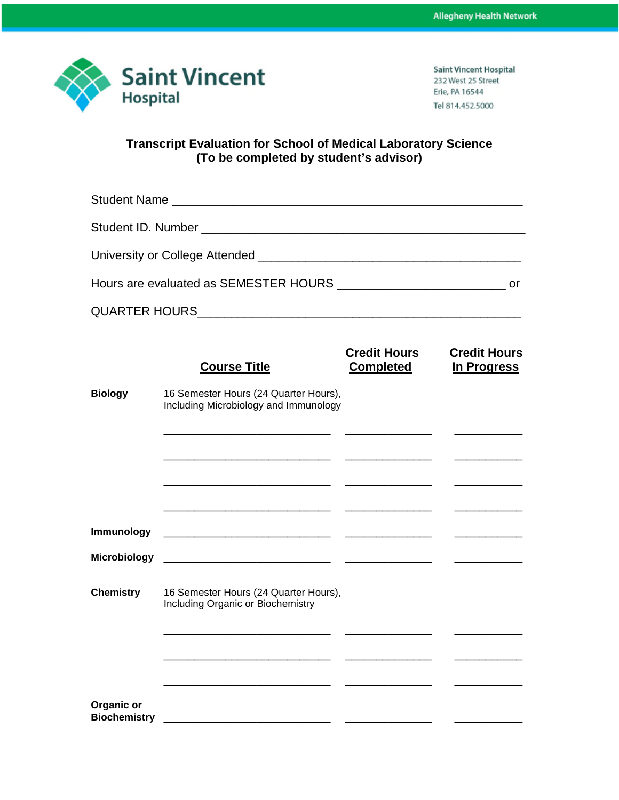

**Saint Vincent Hospital** 232 West 25 Street Erie, PA 16544 Tel 814.452.5000

## **Transcript Evaluation for School of Medical Laboratory Science (To be completed by student's advisor)**

|                                   | <b>Course Title</b>                                                                                                   | <b>Credit Hours</b><br><b>Completed</b> | <b>Credit Hours</b><br>In Progress |
|-----------------------------------|-----------------------------------------------------------------------------------------------------------------------|-----------------------------------------|------------------------------------|
| <b>Biology</b>                    | 16 Semester Hours (24 Quarter Hours),<br>Including Microbiology and Immunology                                        |                                         |                                    |
|                                   |                                                                                                                       |                                         |                                    |
|                                   |                                                                                                                       |                                         |                                    |
| Immunology                        |                                                                                                                       |                                         |                                    |
| Microbiology                      |                                                                                                                       |                                         |                                    |
| <b>Chemistry</b>                  | 16 Semester Hours (24 Quarter Hours),<br>Including Organic or Biochemistry                                            |                                         |                                    |
|                                   |                                                                                                                       |                                         |                                    |
|                                   |                                                                                                                       |                                         |                                    |
| Organic or<br><b>Biochemistry</b> | <u> 1989 - Johann Stein, mars and de families and de families and de families and de families and de families and</u> |                                         |                                    |